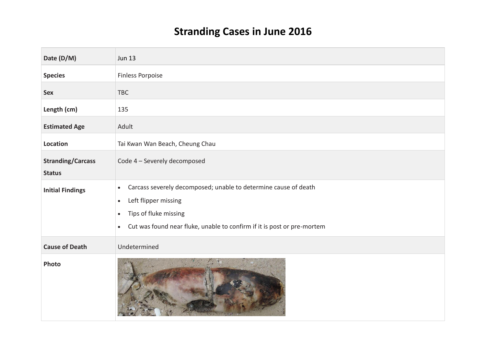## **Stranding Cases in June 2016**

| Date (D/M)                                | <b>Jun 13</b>                                                                                                                                                                                                                                   |
|-------------------------------------------|-------------------------------------------------------------------------------------------------------------------------------------------------------------------------------------------------------------------------------------------------|
| <b>Species</b>                            | <b>Finless Porpoise</b>                                                                                                                                                                                                                         |
| <b>Sex</b>                                | TBC                                                                                                                                                                                                                                             |
| Length (cm)                               | 135                                                                                                                                                                                                                                             |
| <b>Estimated Age</b>                      | Adult                                                                                                                                                                                                                                           |
| Location                                  | Tai Kwan Wan Beach, Cheung Chau                                                                                                                                                                                                                 |
| <b>Stranding/Carcass</b><br><b>Status</b> | Code 4 - Severely decomposed                                                                                                                                                                                                                    |
| <b>Initial Findings</b>                   | Carcass severely decomposed; unable to determine cause of death<br>$\bullet$<br>Left flipper missing<br>$\bullet$<br>Tips of fluke missing<br>$\bullet$<br>Cut was found near fluke, unable to confirm if it is post or pre-mortem<br>$\bullet$ |
| <b>Cause of Death</b>                     | Undetermined                                                                                                                                                                                                                                    |
| Photo                                     |                                                                                                                                                                                                                                                 |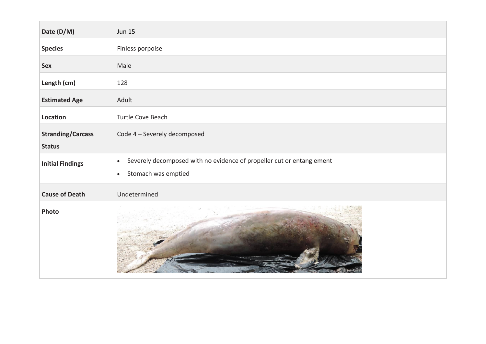| Date (D/M)               | <b>Jun 15</b>                                                                                                          |
|--------------------------|------------------------------------------------------------------------------------------------------------------------|
| <b>Species</b>           | Finless porpoise                                                                                                       |
| <b>Sex</b>               | Male                                                                                                                   |
| Length (cm)              | 128                                                                                                                    |
| <b>Estimated Age</b>     | Adult                                                                                                                  |
| Location                 | Turtle Cove Beach                                                                                                      |
| <b>Stranding/Carcass</b> | Code 4 - Severely decomposed                                                                                           |
| <b>Status</b>            |                                                                                                                        |
| <b>Initial Findings</b>  | Severely decomposed with no evidence of propeller cut or entanglement<br>$\bullet$<br>Stomach was emptied<br>$\bullet$ |
| <b>Cause of Death</b>    | Undetermined                                                                                                           |
| Photo                    |                                                                                                                        |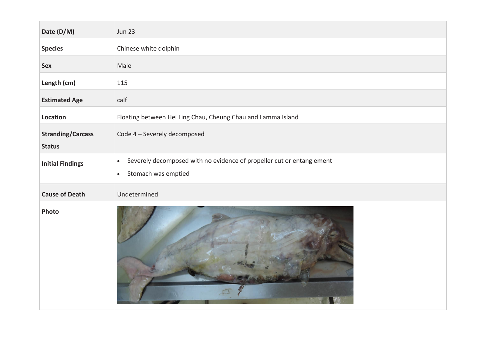| Date (D/M)                                | <b>Jun 23</b>                                                                                                          |
|-------------------------------------------|------------------------------------------------------------------------------------------------------------------------|
| <b>Species</b>                            | Chinese white dolphin                                                                                                  |
| <b>Sex</b>                                | Male                                                                                                                   |
| Length (cm)                               | 115                                                                                                                    |
| <b>Estimated Age</b>                      | calf                                                                                                                   |
| Location                                  | Floating between Hei Ling Chau, Cheung Chau and Lamma Island                                                           |
| <b>Stranding/Carcass</b><br><b>Status</b> | Code 4 - Severely decomposed                                                                                           |
| <b>Initial Findings</b>                   | Severely decomposed with no evidence of propeller cut or entanglement<br>$\bullet$<br>Stomach was emptied<br>$\bullet$ |
| <b>Cause of Death</b>                     | Undetermined                                                                                                           |
| Photo                                     |                                                                                                                        |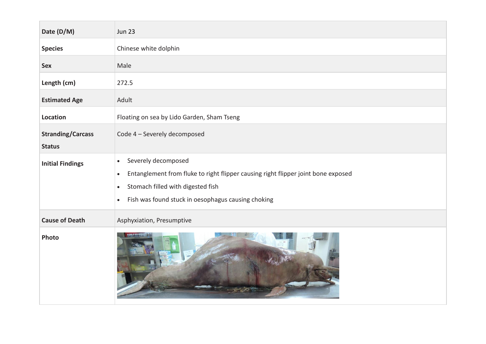| Date (D/M)               | <b>Jun 23</b>                                                                                                                                                                                                                                           |
|--------------------------|---------------------------------------------------------------------------------------------------------------------------------------------------------------------------------------------------------------------------------------------------------|
| <b>Species</b>           | Chinese white dolphin                                                                                                                                                                                                                                   |
| <b>Sex</b>               | Male                                                                                                                                                                                                                                                    |
| Length (cm)              | 272.5                                                                                                                                                                                                                                                   |
| <b>Estimated Age</b>     | Adult                                                                                                                                                                                                                                                   |
| Location                 | Floating on sea by Lido Garden, Sham Tseng                                                                                                                                                                                                              |
| <b>Stranding/Carcass</b> | Code 4 - Severely decomposed                                                                                                                                                                                                                            |
| <b>Status</b>            |                                                                                                                                                                                                                                                         |
| <b>Initial Findings</b>  | Severely decomposed<br>$\bullet$<br>Entanglement from fluke to right flipper causing right flipper joint bone exposed<br>$\bullet$<br>Stomach filled with digested fish<br>$\bullet$<br>Fish was found stuck in oesophagus causing choking<br>$\bullet$ |
| <b>Cause of Death</b>    | Asphyxiation, Presumptive                                                                                                                                                                                                                               |
| Photo                    |                                                                                                                                                                                                                                                         |